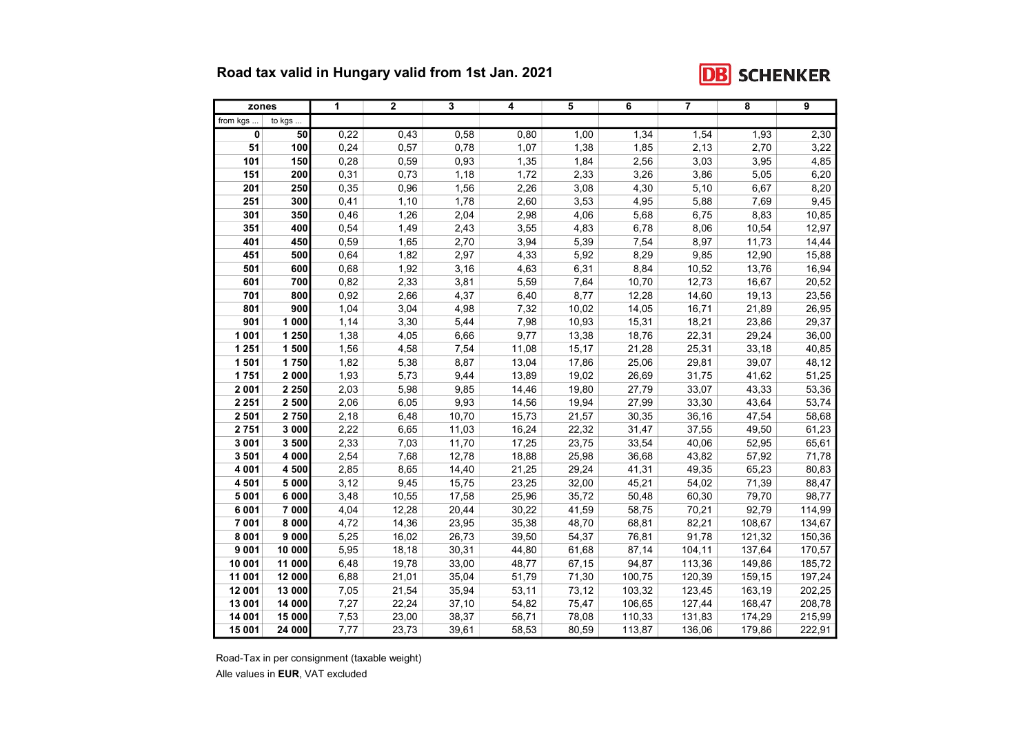## Road tax valid in Hungary valid from 1st Jan. 2021



| zones    |          | 1    | $\overline{2}$ | 3     | 4     | 5     | 6      | $\overline{7}$ | 8      | 9      |
|----------|----------|------|----------------|-------|-------|-------|--------|----------------|--------|--------|
| from kgs | to $kgs$ |      |                |       |       |       |        |                |        |        |
| 0        | 50       | 0,22 | 0,43           | 0,58  | 0,80  | 1,00  | 1,34   | 1,54           | 1,93   | 2,30   |
| 51       | 100      | 0,24 | 0,57           | 0,78  | 1,07  | 1,38  | 1,85   | 2,13           | 2,70   | 3,22   |
| 101      | 150      | 0,28 | 0,59           | 0,93  | 1,35  | 1,84  | 2,56   | 3,03           | 3,95   | 4,85   |
| 151      | 200      | 0,31 | 0,73           | 1,18  | 1,72  | 2,33  | 3,26   | 3,86           | 5,05   | 6,20   |
| 201      | 250      | 0,35 | 0,96           | 1,56  | 2,26  | 3,08  | 4,30   | 5,10           | 6,67   | 8,20   |
| 251      | 300      | 0,41 | 1,10           | 1,78  | 2,60  | 3,53  | 4,95   | 5,88           | 7,69   | 9,45   |
| 301      | 350      | 0,46 | 1,26           | 2,04  | 2,98  | 4,06  | 5,68   | 6,75           | 8,83   | 10,85  |
| 351      | 400      | 0,54 | 1,49           | 2,43  | 3,55  | 4,83  | 6,78   | 8,06           | 10,54  | 12,97  |
| 401      | 450      | 0,59 | 1,65           | 2,70  | 3,94  | 5,39  | 7,54   | 8,97           | 11,73  | 14,44  |
| 451      | 500      | 0,64 | 1,82           | 2,97  | 4,33  | 5,92  | 8,29   | 9,85           | 12,90  | 15,88  |
| 501      | 600      | 0,68 | 1,92           | 3,16  | 4,63  | 6,31  | 8,84   | 10,52          | 13,76  | 16,94  |
| 601      | 700      | 0,82 | 2,33           | 3,81  | 5,59  | 7,64  | 10,70  | 12,73          | 16,67  | 20,52  |
| 701      | 800      | 0,92 | 2,66           | 4,37  | 6,40  | 8,77  | 12,28  | 14,60          | 19,13  | 23,56  |
| 801      | 900      | 1,04 | 3,04           | 4,98  | 7,32  | 10,02 | 14,05  | 16,71          | 21,89  | 26,95  |
| 901      | 1 000    | 1,14 | 3,30           | 5,44  | 7,98  | 10,93 | 15,31  | 18,21          | 23,86  | 29,37  |
| 1 0 0 1  | 1 250    | 1,38 | 4,05           | 6,66  | 9,77  | 13,38 | 18,76  | 22,31          | 29,24  | 36,00  |
| 1 2 5 1  | 1500     | 1,56 | 4,58           | 7,54  | 11,08 | 15,17 | 21,28  | 25,31          | 33,18  | 40,85  |
| 1 501    | 1750     | 1,82 | 5,38           | 8,87  | 13,04 | 17,86 | 25,06  | 29,81          | 39,07  | 48,12  |
| 1751     | 2 0 0 0  | 1,93 | 5,73           | 9,44  | 13,89 | 19,02 | 26,69  | 31,75          | 41,62  | 51,25  |
| 2 0 0 1  | 2 2 5 0  | 2,03 | 5,98           | 9,85  | 14,46 | 19,80 | 27,79  | 33,07          | 43,33  | 53,36  |
| 2 2 5 1  | 2 500    | 2,06 | 6,05           | 9,93  | 14,56 | 19,94 | 27,99  | 33,30          | 43,64  | 53,74  |
| 2 5 0 1  | 2750     | 2,18 | 6,48           | 10,70 | 15,73 | 21,57 | 30,35  | 36,16          | 47,54  | 58,68  |
| 2751     | 3 0 0 0  | 2,22 | 6,65           | 11,03 | 16,24 | 22,32 | 31,47  | 37,55          | 49,50  | 61,23  |
| 3 0 0 1  | 3 500    | 2,33 | 7,03           | 11,70 | 17,25 | 23,75 | 33,54  | 40,06          | 52,95  | 65,61  |
| 3 5 0 1  | 4 0 0 0  | 2,54 | 7,68           | 12,78 | 18,88 | 25,98 | 36,68  | 43,82          | 57,92  | 71,78  |
| 4 0 0 1  | 4 500    | 2,85 | 8,65           | 14,40 | 21,25 | 29,24 | 41,31  | 49,35          | 65,23  | 80,83  |
| 4 5 0 1  | 5 0 0 0  | 3,12 | 9,45           | 15,75 | 23,25 | 32,00 | 45,21  | 54,02          | 71,39  | 88,47  |
| 5 0 0 1  | 6 0 0 0  | 3,48 | 10,55          | 17,58 | 25,96 | 35,72 | 50,48  | 60,30          | 79,70  | 98,77  |
| 6 0 0 1  | 7 000    | 4,04 | 12,28          | 20,44 | 30,22 | 41,59 | 58,75  | 70,21          | 92,79  | 114,99 |
| 7 001    | 8 0 0 0  | 4,72 | 14,36          | 23,95 | 35,38 | 48,70 | 68,81  | 82,21          | 108,67 | 134,67 |
| 8 0 0 1  | 9 0 0 0  | 5,25 | 16,02          | 26,73 | 39,50 | 54,37 | 76,81  | 91,78          | 121,32 | 150,36 |
| 9001     | 10 000   | 5,95 | 18,18          | 30,31 | 44,80 | 61,68 | 87,14  | 104,11         | 137,64 | 170,57 |
| 10 001   | 11 000   | 6,48 | 19,78          | 33,00 | 48,77 | 67,15 | 94,87  | 113,36         | 149,86 | 185,72 |
| 11 001   | 12 000   | 6,88 | 21,01          | 35,04 | 51,79 | 71,30 | 100,75 | 120,39         | 159,15 | 197,24 |
| 12 001   | 13 000   | 7,05 | 21,54          | 35,94 | 53,11 | 73,12 | 103,32 | 123,45         | 163,19 | 202,25 |
| 13 001   | 14 000   | 7,27 | 22,24          | 37,10 | 54,82 | 75,47 | 106,65 | 127,44         | 168,47 | 208,78 |
| 14 001   | 15 000   | 7,53 | 23,00          | 38,37 | 56,71 | 78,08 | 110,33 | 131,83         | 174,29 | 215,99 |
| 15 001   | 24 000   | 7,77 | 23,73          | 39,61 | 58,53 | 80,59 | 113,87 | 136,06         | 179,86 | 222,91 |

Road-Tax in per consignment (taxable weight) Alle values in **EUR**, VAT excluded